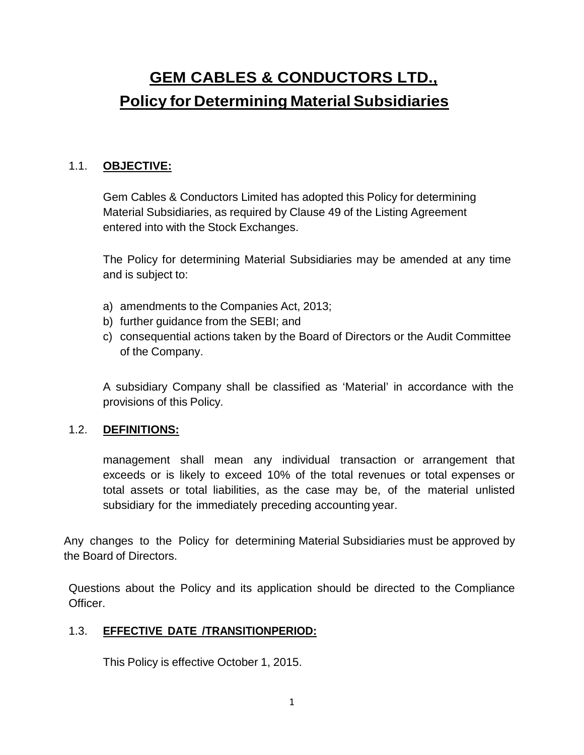# **GEM CABLES & CONDUCTORS LTD., Policy for Determining Material Subsidiaries**

## 1.1. **OBJECTIVE:**

Gem Cables & Conductors Limited has adopted this Policy for determining Material Subsidiaries, as required by Clause 49 of the Listing Agreement entered into with the Stock Exchanges.

The Policy for determining Material Subsidiaries may be amended at any time and is subject to:

- a) amendments to the Companies Act, 2013;
- b) further guidance from the SEBI; and
- c) consequential actions taken by the Board of Directors or the Audit Committee of the Company.

A subsidiary Company shall be classified as 'Material' in accordance with the provisions of this Policy.

#### 1.2. **DEFINITIONS:**

management shall mean any individual transaction or arrangement that exceeds or is likely to exceed 10% of the total revenues or total expenses or total assets or total liabilities, as the case may be, of the material unlisted subsidiary for the immediately preceding accounting year.

Any changes to the Policy for determining Material Subsidiaries must be approved by the Board of Directors.

Questions about the Policy and its application should be directed to the Compliance Officer.

#### 1.3. **EFFECTIVE DATE /TRANSITIONPERIOD:**

This Policy is effective October 1, 2015.